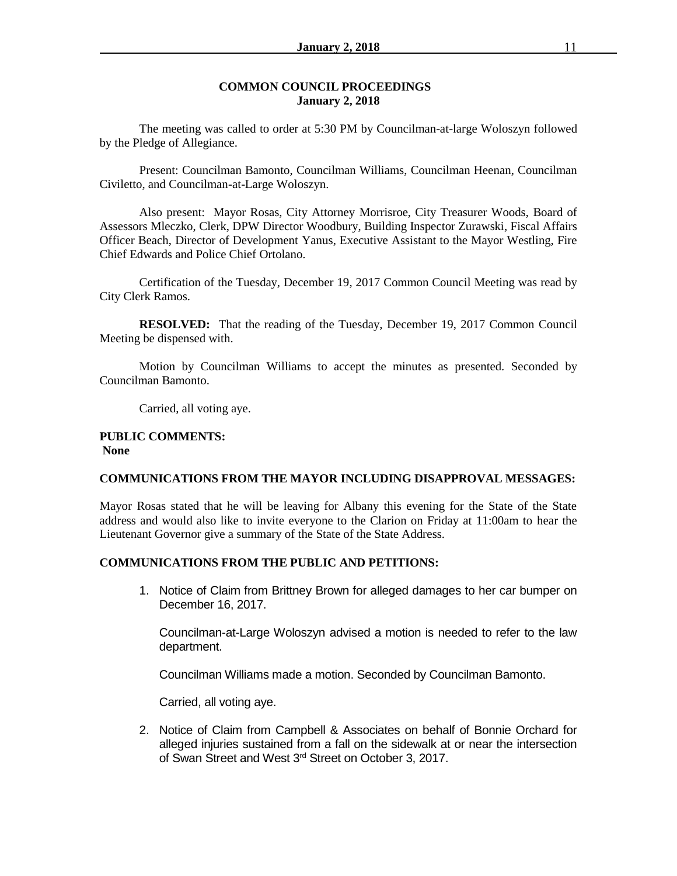#### **COMMON COUNCIL PROCEEDINGS January 2, 2018**

The meeting was called to order at 5:30 PM by Councilman-at-large Woloszyn followed by the Pledge of Allegiance.

Present: Councilman Bamonto, Councilman Williams, Councilman Heenan, Councilman Civiletto, and Councilman-at-Large Woloszyn.

Also present: Mayor Rosas, City Attorney Morrisroe, City Treasurer Woods, Board of Assessors Mleczko, Clerk, DPW Director Woodbury, Building Inspector Zurawski, Fiscal Affairs Officer Beach, Director of Development Yanus, Executive Assistant to the Mayor Westling, Fire Chief Edwards and Police Chief Ortolano.

Certification of the Tuesday, December 19, 2017 Common Council Meeting was read by City Clerk Ramos.

**RESOLVED:** That the reading of the Tuesday, December 19, 2017 Common Council Meeting be dispensed with.

Motion by Councilman Williams to accept the minutes as presented. Seconded by Councilman Bamonto.

Carried, all voting aye.

#### **PUBLIC COMMENTS: None**

## **COMMUNICATIONS FROM THE MAYOR INCLUDING DISAPPROVAL MESSAGES:**

Mayor Rosas stated that he will be leaving for Albany this evening for the State of the State address and would also like to invite everyone to the Clarion on Friday at 11:00am to hear the Lieutenant Governor give a summary of the State of the State Address.

## **COMMUNICATIONS FROM THE PUBLIC AND PETITIONS:**

1. Notice of Claim from Brittney Brown for alleged damages to her car bumper on December 16, 2017.

Councilman-at-Large Woloszyn advised a motion is needed to refer to the law department.

Councilman Williams made a motion. Seconded by Councilman Bamonto.

Carried, all voting aye.

2. Notice of Claim from Campbell & Associates on behalf of Bonnie Orchard for alleged injuries sustained from a fall on the sidewalk at or near the intersection of Swan Street and West 3rd Street on October 3, 2017.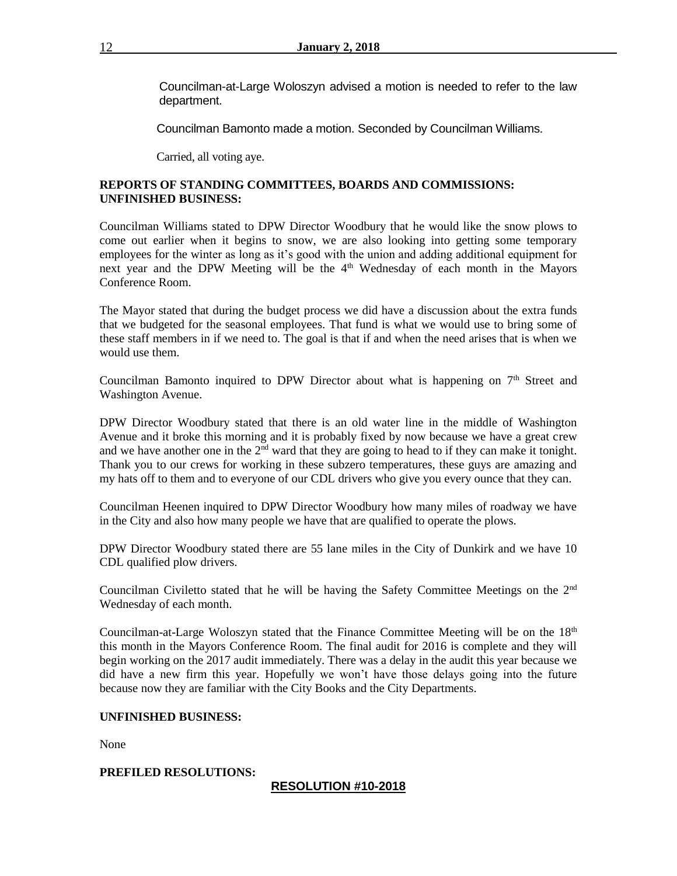Councilman-at-Large Woloszyn advised a motion is needed to refer to the law department.

Councilman Bamonto made a motion. Seconded by Councilman Williams.

Carried, all voting aye.

## **REPORTS OF STANDING COMMITTEES, BOARDS AND COMMISSIONS: UNFINISHED BUSINESS:**

Councilman Williams stated to DPW Director Woodbury that he would like the snow plows to come out earlier when it begins to snow, we are also looking into getting some temporary employees for the winter as long as it's good with the union and adding additional equipment for next year and the DPW Meeting will be the 4<sup>th</sup> Wednesday of each month in the Mayors Conference Room.

The Mayor stated that during the budget process we did have a discussion about the extra funds that we budgeted for the seasonal employees. That fund is what we would use to bring some of these staff members in if we need to. The goal is that if and when the need arises that is when we would use them.

Councilman Bamonto inquired to DPW Director about what is happening on 7<sup>th</sup> Street and Washington Avenue.

DPW Director Woodbury stated that there is an old water line in the middle of Washington Avenue and it broke this morning and it is probably fixed by now because we have a great crew and we have another one in the  $2<sup>nd</sup>$  ward that they are going to head to if they can make it tonight. Thank you to our crews for working in these subzero temperatures, these guys are amazing and my hats off to them and to everyone of our CDL drivers who give you every ounce that they can.

Councilman Heenen inquired to DPW Director Woodbury how many miles of roadway we have in the City and also how many people we have that are qualified to operate the plows.

DPW Director Woodbury stated there are 55 lane miles in the City of Dunkirk and we have 10 CDL qualified plow drivers.

Councilman Civiletto stated that he will be having the Safety Committee Meetings on the 2nd Wednesday of each month.

Councilman-at-Large Woloszyn stated that the Finance Committee Meeting will be on the 18<sup>th</sup> this month in the Mayors Conference Room. The final audit for 2016 is complete and they will begin working on the 2017 audit immediately. There was a delay in the audit this year because we did have a new firm this year. Hopefully we won't have those delays going into the future because now they are familiar with the City Books and the City Departments.

#### **UNFINISHED BUSINESS:**

None

## **PREFILED RESOLUTIONS:**

## **RESOLUTION #10-2018**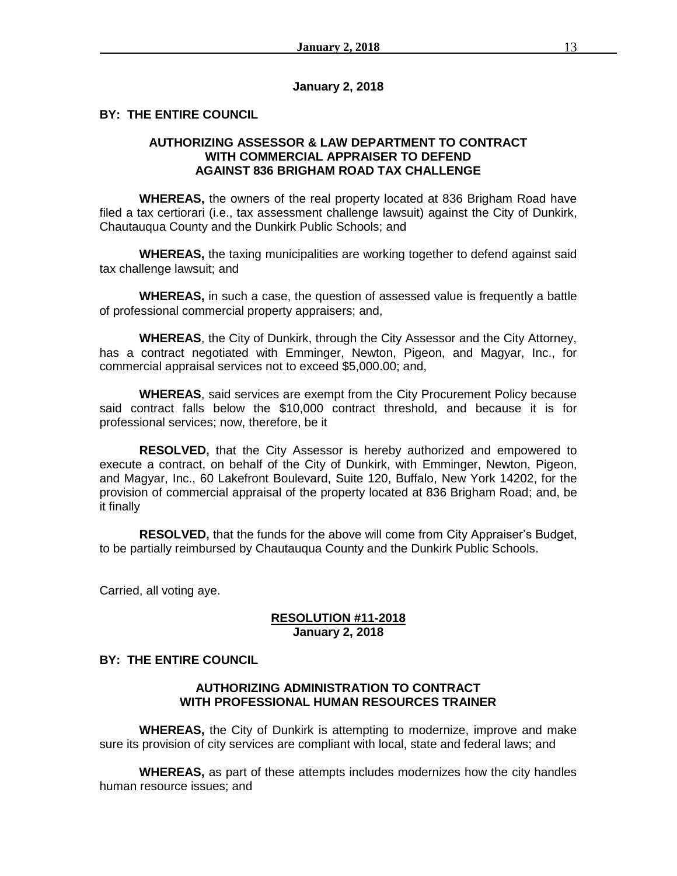### **January 2, 2018**

## **BY: THE ENTIRE COUNCIL**

# **AUTHORIZING ASSESSOR & LAW DEPARTMENT TO CONTRACT WITH COMMERCIAL APPRAISER TO DEFEND AGAINST 836 BRIGHAM ROAD TAX CHALLENGE**

**WHEREAS,** the owners of the real property located at 836 Brigham Road have filed a tax certiorari (i.e., tax assessment challenge lawsuit) against the City of Dunkirk, Chautauqua County and the Dunkirk Public Schools; and

**WHEREAS,** the taxing municipalities are working together to defend against said tax challenge lawsuit; and

**WHEREAS,** in such a case, the question of assessed value is frequently a battle of professional commercial property appraisers; and,

**WHEREAS**, the City of Dunkirk, through the City Assessor and the City Attorney, has a contract negotiated with Emminger, Newton, Pigeon, and Magyar, Inc., for commercial appraisal services not to exceed \$5,000.00; and,

**WHEREAS**, said services are exempt from the City Procurement Policy because said contract falls below the \$10,000 contract threshold, and because it is for professional services; now, therefore, be it

**RESOLVED,** that the City Assessor is hereby authorized and empowered to execute a contract, on behalf of the City of Dunkirk, with Emminger, Newton, Pigeon, and Magyar, Inc., 60 Lakefront Boulevard, Suite 120, Buffalo, New York 14202, for the provision of commercial appraisal of the property located at 836 Brigham Road; and, be it finally

**RESOLVED,** that the funds for the above will come from City Appraiser's Budget, to be partially reimbursed by Chautauqua County and the Dunkirk Public Schools.

Carried, all voting aye.

### **RESOLUTION #11-2018 January 2, 2018**

## **BY: THE ENTIRE COUNCIL**

# **AUTHORIZING ADMINISTRATION TO CONTRACT WITH PROFESSIONAL HUMAN RESOURCES TRAINER**

**WHEREAS,** the City of Dunkirk is attempting to modernize, improve and make sure its provision of city services are compliant with local, state and federal laws; and

**WHEREAS,** as part of these attempts includes modernizes how the city handles human resource issues; and